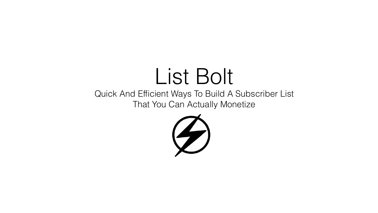#### List Bolt Quick And Efficient Ways To Build A Subscriber List That You Can Actually Monetize

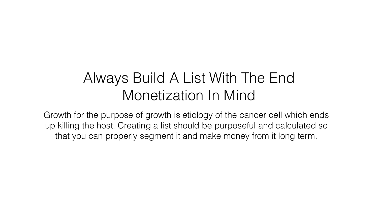#### Always Build A List With The End Monetization In Mind

Growth for the purpose of growth is etiology of the cancer cell which ends up killing the host. Creating a list should be purposeful and calculated so that you can properly segment it and make money from it long term.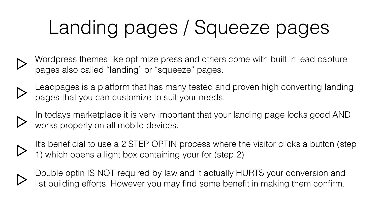# Landing pages / Squeeze pages

- Wordpress themes like optimize press and others come with built in lead capture pages also called "landing" or "squeeze" pages.
- 
- Leadpages is a platform that has many tested and proven high converting landing pages that you can customize to suit your needs.
- 
- In todays marketplace it is very important that your landing page looks good AND works properly on all mobile devices.
- 
- It's beneficial to use a 2 STEP OPTIN process where the visitor clicks a button (step 1) which opens a light box containing your for (step 2)



Double optin IS NOT required by law and it actually HURTS your conversion and list building efforts. However you may find some benefit in making them confirm.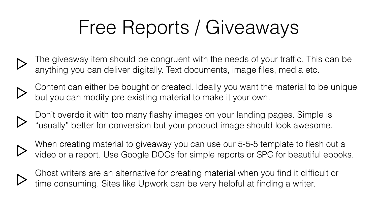## Free Reports / Giveaways

The giveaway item should be congruent with the needs of your traffic. This can be anything you can deliver digitally. Text documents, image files, media etc.



- Content can either be bought or created. Ideally you want the material to be unique but you can modify pre-existing material to make it your own.
- 
- Don't overdo it with too many flashy images on your landing pages. Simple is "usually" better for conversion but your product image should look awesome.



When creating material to giveaway you can use our 5-5-5 template to flesh out a video or a report. Use Google DOCs for simple reports or SPC for beautiful ebooks.



Ghost writers are an alternative for creating material when you find it difficult or

time consuming. Sites like Upwork can be very helpful at finding a writer.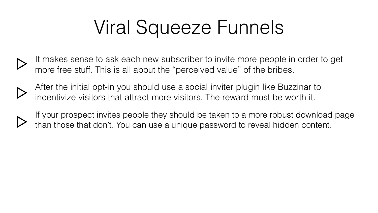## Viral Squeeze Funnels

It makes sense to ask each new subscriber to invite more people in order to get more free stuff. This is all about the "perceived value" of the bribes.



After the initial opt-in you should use a social inviter plugin like Buzzinar to incentivize visitors that attract more visitors. The reward must be worth it.



If your prospect invites people they should be taken to a more robust download page than those that don't. You can use a unique password to reveal hidden content.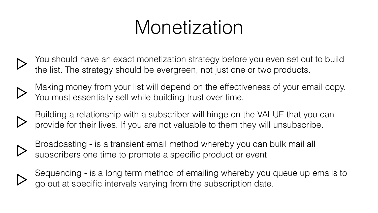## Monetization

You should have an exact monetization strategy before you even set out to build the list. The strategy should be evergreen, not just one or two products.



- Making money from your list will depend on the effectiveness of your email copy. You must essentially sell while building trust over time.
- Building a relationship with a subscriber will hinge on the VALUE that you can provide for their lives. If you are not valuable to them they will unsubscribe.
- 
- Broadcasting is a transient email method whereby you can bulk mail all subscribers one time to promote a specific product or event.



Sequencing - is a long term method of emailing whereby you queue up emails to

go out at specific intervals varying from the subscription date.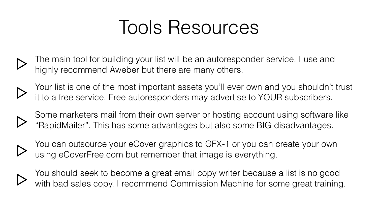### Tools Resources



The main tool for building your list will be an autoresponder service. I use and highly recommend Aweber but there are many others.



Your list is one of the most important assets you'll ever own and you shouldn't trust it to a free service. Free autoresponders may advertise to YOUR subscribers.



You can outsource your eCover graphics to GFX-1 or you can create your own using [eCoverFree.com](http://eCoverFree.com) but remember that image is everything.



Some marketers mail from their own server or hosting account using software like "RapidMailer". This has some advantages but also some BIG disadvantages.



You should seek to become a great email copy writer because a list is no good with bad sales copy. I recommend Commission Machine for some great training.